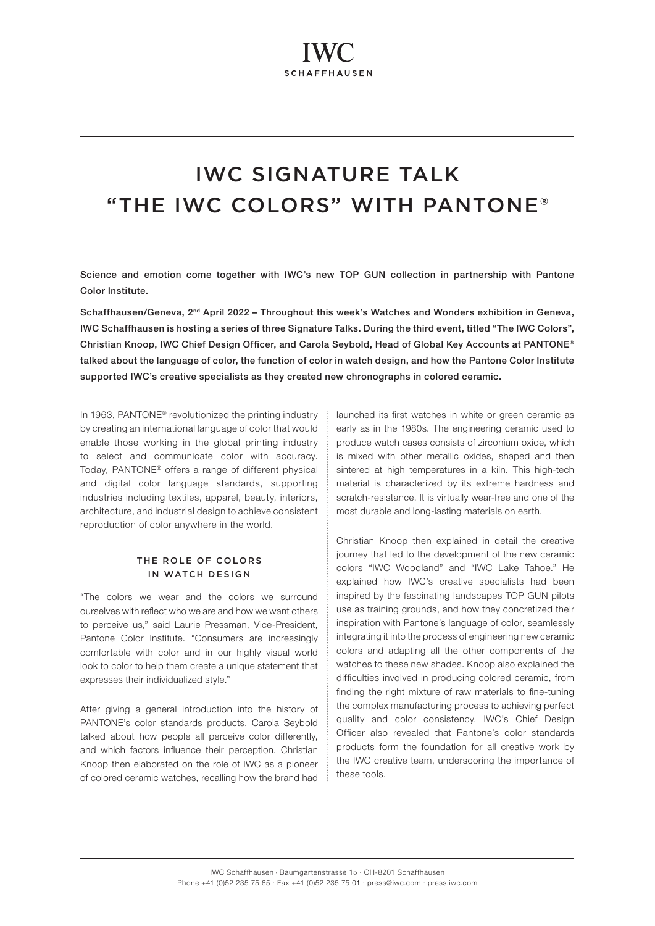# IWC SIGNATURE TALK "THE IWC COLORS" WITH PANTONE®

Science and emotion come together with IWC's new TOP GUN collection in partnership with Pantone Color Institute.

Schaffhausen/Geneva, 2<sup>nd</sup> April 2022 – Throughout this week's Watches and Wonders exhibition in Geneva, IWC Schaffhausen is hosting a series of three Signature Talks. During the third event, titled "The IWC Colors", Christian Knoop, IWC Chief Design Officer, and Carola Seybold, Head of Global Key Accounts at PANTONE® talked about the language of color, the function of color in watch design, and how the Pantone Color Institute supported IWC's creative specialists as they created new chronographs in colored ceramic.

In 1963, PANTONE® revolutionized the printing industry by creating an international language of color that would enable those working in the global printing industry to select and communicate color with accuracy. Today, PANTONE® offers a range of different physical and digital color language standards, supporting industries including textiles, apparel, beauty, interiors, architecture, and industrial design to achieve consistent reproduction of color anywhere in the world.

## THE ROLE OF COLORS IN WATCH DESIGN

"The colors we wear and the colors we surround ourselves with reflect who we are and how we want others to perceive us," said Laurie Pressman, Vice-President, Pantone Color Institute. "Consumers are increasingly comfortable with color and in our highly visual world look to color to help them create a unique statement that expresses their individualized style."

After giving a general introduction into the history of PANTONE's color standards products, Carola Seybold talked about how people all perceive color differently, and which factors influence their perception. Christian Knoop then elaborated on the role of IWC as a pioneer of colored ceramic watches, recalling how the brand had launched its first watches in white or green ceramic as early as in the 1980s. The engineering ceramic used to produce watch cases consists of zirconium oxide, which is mixed with other metallic oxides, shaped and then sintered at high temperatures in a kiln. This high-tech material is characterized by its extreme hardness and scratch-resistance. It is virtually wear-free and one of the most durable and long-lasting materials on earth.

Christian Knoop then explained in detail the creative journey that led to the development of the new ceramic colors "IWC Woodland" and "IWC Lake Tahoe." He explained how IWC's creative specialists had been inspired by the fascinating landscapes TOP GUN pilots use as training grounds, and how they concretized their inspiration with Pantone's language of color, seamlessly integrating it into the process of engineering new ceramic colors and adapting all the other components of the watches to these new shades. Knoop also explained the difficulties involved in producing colored ceramic, from finding the right mixture of raw materials to fine-tuning the complex manufacturing process to achieving perfect quality and color consistency. IWC's Chief Design Officer also revealed that Pantone's color standards products form the foundation for all creative work by the IWC creative team, underscoring the importance of these tools.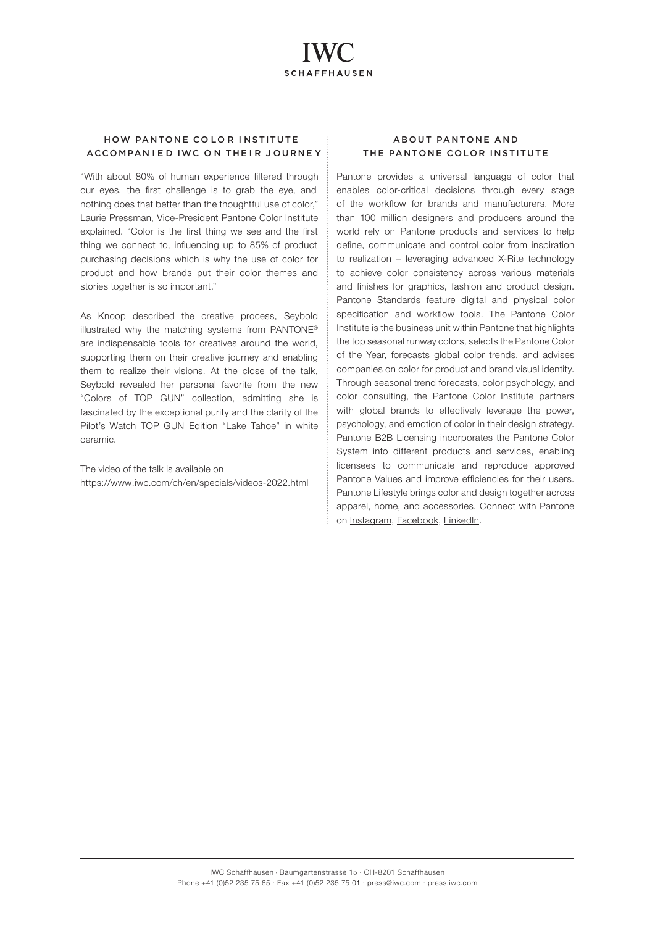## HOW PANTONE CO LO R I NSTITUTE ACCOMPANIE D IWC ON THEIR JOURNEY

"With about 80% of human experience filtered through our eyes, the first challenge is to grab the eye, and nothing does that better than the thoughtful use of color," Laurie Pressman, Vice-President Pantone Color Institute explained. "Color is the first thing we see and the first thing we connect to, influencing up to 85% of product purchasing decisions which is why the use of color for product and how brands put their color themes and stories together is so important."

As Knoop described the creative process, Seybold illustrated why the matching systems from PANTONE® are indispensable tools for creatives around the world, supporting them on their creative journey and enabling them to realize their visions. At the close of the talk, Seybold revealed her personal favorite from the new "Colors of TOP GUN" collection, admitting she is fascinated by the exceptional purity and the clarity of the Pilot's Watch TOP GUN Edition "Lake Tahoe" in white ceramic.

The video of the talk is available on <https://www.iwc.com/ch/en/specials/videos-2022.html>

## ABOUT PANTONE AND THE PANTONE COLOR INSTITUTE

Pantone provides a universal language of color that enables color-critical decisions through every stage of the workflow for brands and manufacturers. More than 100 million designers and producers around the world rely on Pantone products and services to help define, communicate and control color from inspiration to realization – leveraging advanced X-Rite technology to achieve color consistency across various materials and finishes for graphics, fashion and product design. Pantone Standards feature digital and physical color specification and workflow tools. The Pantone Color Institute is the business unit within Pantone that highlights the top seasonal runway colors, selects the Pantone Color of the Year, forecasts global color trends, and advises companies on color for product and brand visual identity. Through seasonal trend forecasts, color psychology, and color consulting, the Pantone Color Institute partners with global brands to effectively leverage the power, psychology, and emotion of color in their design strategy. Pantone B2B Licensing incorporates the Pantone Color System into different products and services, enabling licensees to communicate and reproduce approved Pantone Values and improve efficiencies for their users. Pantone Lifestyle brings color and design together across apparel, home, and accessories. Connect with Pantone on [Instagram](https://www.instagram.com/pantone/), [Facebook,](https://www.facebook.com/PantoneColor) [LinkedIn.](https://www.linkedin.com/company/pantone/)